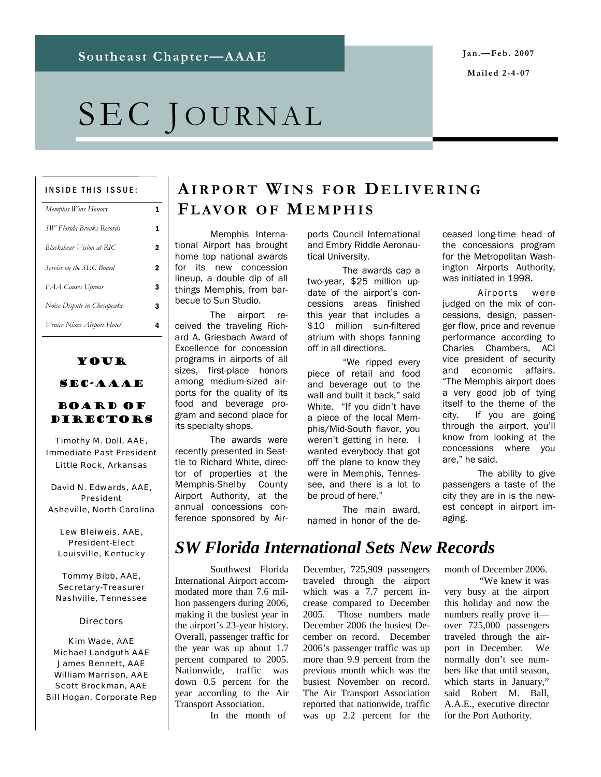**Mailed 2-4-07** 

# SEC JOURNAL

#### INSIDE THIS ISSUE:

| Memphis Wins Honors         |   |
|-----------------------------|---|
| SW Florida Breaks Records   | 1 |
| Blackshear Vision at RIC    | 2 |
| Service on the SEC Board    | 2 |
| FAA Causes Uproar           | 3 |
| Noise Dispute in Chesapeake | 3 |
| Venice Nixes Airport Hotel  | 4 |

# Your

### SEC-AAAE

#### Board of **DIRECTORS**

Timothy M. Doll, AAE, Immediate Past President Little Rock, Arkansas

David N. Edwards, AAE, President Asheville, North Carolina

Lew Bleiweis, AAE, President-Elect Louisville, Kentucky

Tommy Bibb, AAE, Secretary-Treasurer Nashville, Tennessee

#### **Directors**

Kim Wade, AAE Michael Landguth AAE James Bennett, AAE William Marrison, AAE Scott Brockman, AAE Bill Hogan, Corporate Rep

## **AIRPORT WINS FOR DELIVERING FLAVOR OF MEMPHIS**

 Memphis International Airport has brought home top national awards for its new concession lineup, a double dip of all things Memphis, from barbecue to Sun Studio.

 The airport received the traveling Richard A. Griesbach Award of Excellence for concession programs in airports of all sizes, first-place honors among medium-sized airports for the quality of its food and beverage program and second place for its specialty shops.

 The awards were recently presented in Seattle to Richard White, director of properties at the Memphis-Shelby County Airport Authority, at the annual concessions conference sponsored by Airports Council International and Embry Riddle Aeronautical University.

 The awards cap a two-year, \$25 million update of the airport's concessions areas finished this year that includes a \$10 million sun-filtered atrium with shops fanning off in all directions.

 "We ripped every piece of retail and food and beverage out to the wall and built it back," said White. "If you didn't have a piece of the local Memphis/Mid-South flavor, you weren't getting in here. I wanted everybody that got off the plane to know they were in Memphis, Tennessee, and there is a lot to be proud of here."

 The main award, named in honor of the deceased long-time head of the concessions program for the Metropolitan Washington Airports Authority, was initiated in 1998.

 Airports were judged on the mix of concessions, design, passenger flow, price and revenue performance according to Charles Chambers, ACI vice president of security and economic affairs. "The Memphis airport does a very good job of tying itself to the theme of the city. If you are going through the airport, you'll know from looking at the concessions where you are," he said.

 The ability to give passengers a taste of the city they are in is the newest concept in airport imaging.

# *SW Florida International Sets New Records*

 Southwest Florida International Airport accommodated more than 7.6 million passengers during 2006, making it the busiest year in the airport's 23-year history. Overall, passenger traffic for the year was up about 1.7 percent compared to 2005. Nationwide, traffic was down 0.5 percent for the year according to the Air Transport Association.

In the month of

December, 725,909 passengers traveled through the airport which was a 7.7 percent increase compared to December 2005. Those numbers made December 2006 the busiest December on record. December 2006's passenger traffic was up more than 9.9 percent from the previous month which was the busiest November on record. The Air Transport Association reported that nationwide, traffic was up 2.2 percent for the

month of December 2006.

 "We knew it was very busy at the airport this holiday and now the numbers really prove it over 725,000 passengers traveled through the airport in December. We normally don't see numbers like that until season, which starts in January," said Robert M. Ball, A.A.E., executive director for the Port Authority.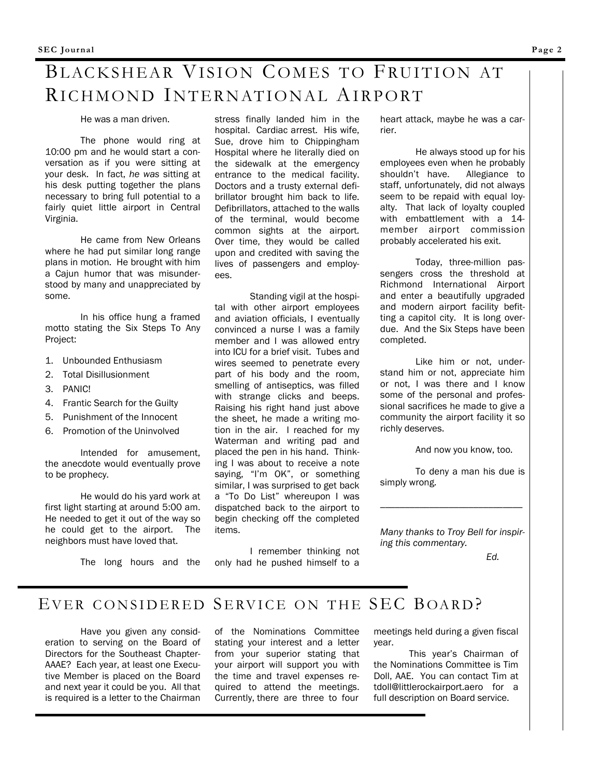# BLACKSHEAR VISION COMES TO FRUITION AT RICHMOND INTERNATIONAL AIRPORT

He was a man driven.

 The phone would ring at 10:00 pm and he would start a conversation as if you were sitting at your desk. In fact, *he was* sitting at his desk putting together the plans necessary to bring full potential to a fairly quiet little airport in Central Virginia.

 He came from New Orleans where he had put similar long range plans in motion. He brought with him a Cajun humor that was misunderstood by many and unappreciated by some.

 In his office hung a framed motto stating the Six Steps To Any Project:

- 1. Unbounded Enthusiasm
- 2. Total Disillusionment
- 3. PANIC!
- 4. Frantic Search for the Guilty
- 5. Punishment of the Innocent
- 6. Promotion of the Uninvolved

 Intended for amusement, the anecdote would eventually prove to be prophecy.

 He would do his yard work at first light starting at around 5:00 am. He needed to get it out of the way so he could get to the airport. The neighbors must have loved that.

The long hours and the

stress finally landed him in the hospital. Cardiac arrest. His wife, Sue, drove him to Chippingham Hospital where he literally died on the sidewalk at the emergency entrance to the medical facility. Doctors and a trusty external defibrillator brought him back to life. Defibrillators, attached to the walls of the terminal, would become common sights at the airport. Over time, they would be called upon and credited with saving the lives of passengers and employees.

 Standing vigil at the hospital with other airport employees and aviation officials, I eventually convinced a nurse I was a family member and I was allowed entry into ICU for a brief visit. Tubes and wires seemed to penetrate every part of his body and the room, smelling of antiseptics, was filled with strange clicks and beeps. Raising his right hand just above the sheet, he made a writing motion in the air. I reached for my Waterman and writing pad and placed the pen in his hand. Thinking I was about to receive a note saying, "I'm OK", or something similar, I was surprised to get back a "To Do List" whereupon I was dispatched back to the airport to begin checking off the completed items.

 I remember thinking not only had he pushed himself to a heart attack, maybe he was a carrier.

 He always stood up for his employees even when he probably shouldn't have. Allegiance to staff, unfortunately, did not always seem to be repaid with equal loyalty. That lack of loyalty coupled with embattlement with a 14 member airport commission probably accelerated his exit.

 Today, three-million passengers cross the threshold at Richmond International Airport and enter a beautifully upgraded and modern airport facility befitting a capitol city. It is long overdue. And the Six Steps have been completed.

 Like him or not, understand him or not, appreciate him or not, I was there and I know some of the personal and professional sacrifices he made to give a community the airport facility it so richly deserves.

And now you know, too.

 To deny a man his due is simply wrong.

\_\_\_\_\_\_\_\_\_\_\_\_\_\_\_\_\_\_\_\_\_\_\_\_\_\_\_\_\_

*Many thanks to Troy Bell for inspiring this commentary.* 

 *Ed.* 

## EVER CONSIDERED SERVICE ON THE SEC BOARD?

 Have you given any consideration to serving on the Board of Directors for the Southeast Chapter-AAAE? Each year, at least one Executive Member is placed on the Board and next year it could be you. All that is required is a letter to the Chairman of the Nominations Committee stating your interest and a letter from your superior stating that your airport will support you with the time and travel expenses required to attend the meetings. Currently, there are three to four

meetings held during a given fiscal year.

 This year's Chairman of the Nominations Committee is Tim Doll, AAE. You can contact Tim at tdoll@littlerockairport.aero for a full description on Board service.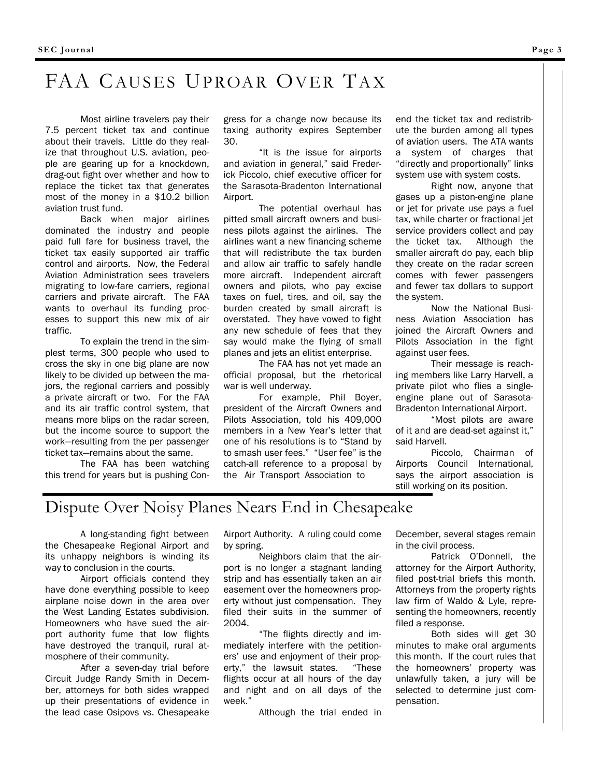# FAA CAUSES UPROAR OVER TAX

 Most airline travelers pay their 7.5 percent ticket tax and continue about their travels. Little do they realize that throughout U.S. aviation, people are gearing up for a knockdown, drag-out fight over whether and how to replace the ticket tax that generates most of the money in a \$10.2 billion aviation trust fund.

 Back when major airlines dominated the industry and people paid full fare for business travel, the ticket tax easily supported air traffic control and airports. Now, the Federal Aviation Administration sees travelers migrating to low-fare carriers, regional carriers and private aircraft. The FAA wants to overhaul its funding processes to support this new mix of air traffic.

 To explain the trend in the simplest terms, 300 people who used to cross the sky in one big plane are now likely to be divided up between the majors, the regional carriers and possibly a private aircraft or two. For the FAA and its air traffic control system, that means more blips on the radar screen, but the income source to support the work—resulting from the per passenger ticket tax—remains about the same.

 The FAA has been watching this trend for years but is pushing Con-

gress for a change now because its taxing authority expires September 30.

 "It is *the* issue for airports and aviation in general," said Frederick Piccolo, chief executive officer for the Sarasota-Bradenton International Airport.

 The potential overhaul has pitted small aircraft owners and business pilots against the airlines. The airlines want a new financing scheme that will redistribute the tax burden and allow air traffic to safely handle more aircraft. Independent aircraft owners and pilots, who pay excise taxes on fuel, tires, and oil, say the burden created by small aircraft is overstated. They have vowed to fight any new schedule of fees that they say would make the flying of small planes and jets an elitist enterprise.

 The FAA has not yet made an official proposal, but the rhetorical war is well underway.

 For example, Phil Boyer, president of the Aircraft Owners and Pilots Association, told his 409,000 members in a New Year's letter that one of his resolutions is to "Stand by to smash user fees." "User fee" is the catch-all reference to a proposal by the Air Transport Association to

end the ticket tax and redistribute the burden among all types of aviation users. The ATA wants a system of charges that "directly and proportionally" links system use with system costs.

 Right now, anyone that gases up a piston-engine plane or jet for private use pays a fuel tax, while charter or fractional jet service providers collect and pay the ticket tax. Although the smaller aircraft do pay, each blip they create on the radar screen comes with fewer passengers and fewer tax dollars to support the system.

 Now the National Business Aviation Association has joined the Aircraft Owners and Pilots Association in the fight against user fees.

 Their message is reaching members like Larry Harvell, a private pilot who flies a singleengine plane out of Sarasota-Bradenton International Airport.

 "Most pilots are aware of it and are dead-set against it," said Harvell.

 Piccolo, Chairman of Airports Council International, says the airport association is still working on its position.

## Dispute Over Noisy Planes Nears End in Chesapeake

 A long-standing fight between the Chesapeake Regional Airport and its unhappy neighbors is winding its way to conclusion in the courts.

 Airport officials contend they have done everything possible to keep airplane noise down in the area over the West Landing Estates subdivision. Homeowners who have sued the airport authority fume that low flights have destroyed the tranquil, rural atmosphere of their community.

 After a seven-day trial before Circuit Judge Randy Smith in December, attorneys for both sides wrapped up their presentations of evidence in the lead case Osipovs vs. Chesapeake Airport Authority. A ruling could come by spring.

 Neighbors claim that the airport is no longer a stagnant landing strip and has essentially taken an air easement over the homeowners property without just compensation. They filed their suits in the summer of 2004.

 "The flights directly and immediately interfere with the petitioners' use and enjoyment of their property," the lawsuit states. "These flights occur at all hours of the day and night and on all days of the week."

Although the trial ended in

December, several stages remain in the civil process.

 Patrick O'Donnell, the attorney for the Airport Authority, filed post-trial briefs this month. Attorneys from the property rights law firm of Waldo & Lyle, representing the homeowners, recently filed a response.

 Both sides will get 30 minutes to make oral arguments this month. If the court rules that the homeowners' property was unlawfully taken, a jury will be selected to determine just compensation.